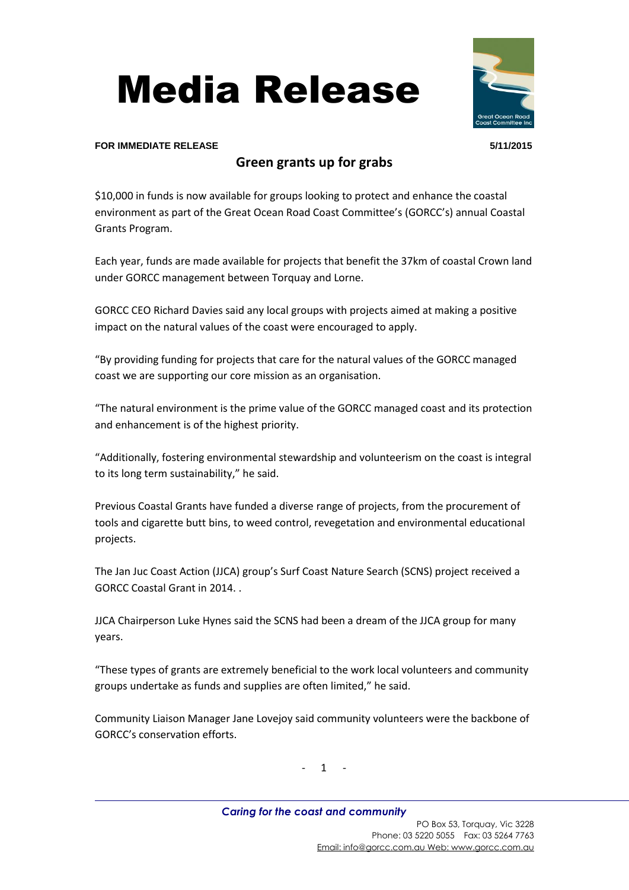



## **FOR IMMEDIATE RELEASE 5/11/2015**

## **Green grants up for grabs**

\$10,000 in funds is now available for groups looking to protect and enhance the coastal environment as part of the Great Ocean Road Coast Committee's (GORCC's) annual Coastal Grants Program.

Each year, funds are made available for projects that benefit the 37km of coastal Crown land under GORCC management between Torquay and Lorne.

GORCC CEO Richard Davies said any local groups with projects aimed at making a positive impact on the natural values of the coast were encouraged to apply.

"By providing funding for projects that care for the natural values of the GORCC managed coast we are supporting our core mission as an organisation.

"The natural environment is the prime value of the GORCC managed coast and its protection and enhancement is of the highest priority.

"Additionally, fostering environmental stewardship and volunteerism on the coast is integral to its long term sustainability," he said.

Previous Coastal Grants have funded a diverse range of projects, from the procurement of tools and cigarette butt bins, to weed control, revegetation and environmental educational projects.

The Jan Juc Coast Action (JJCA) group's Surf Coast Nature Search (SCNS) project received a GORCC Coastal Grant in 2014. .

JJCA Chairperson Luke Hynes said the SCNS had been a dream of the JJCA group for many years.

"These types of grants are extremely beneficial to the work local volunteers and community groups undertake as funds and supplies are often limited," he said.

Community Liaison Manager Jane Lovejoy said community volunteers were the backbone of GORCC's conservation efforts.

- 1 -